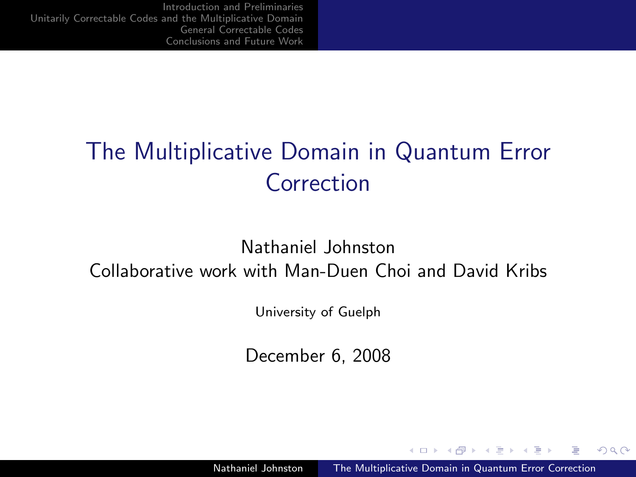# The Multiplicative Domain in Quantum Error Correction

#### Nathaniel Johnston Collaborative work with Man-Duen Choi and David Kribs

University of Guelph

December 6, 2008

 $4.171$ 

<span id="page-0-0"></span>**ALCOHOL:**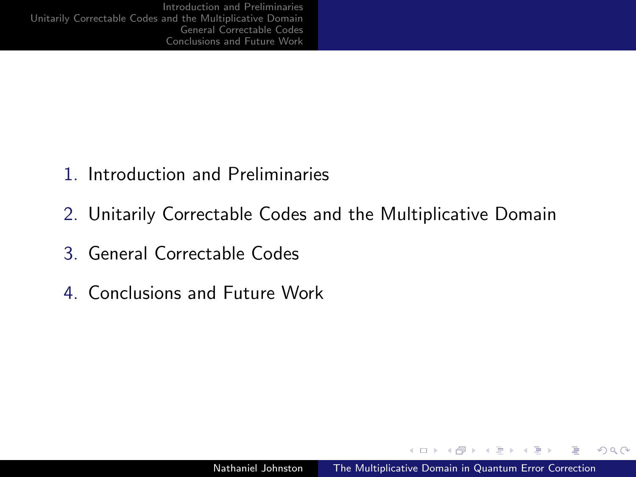- 1. Introduction and Preliminaries
- 2. Unitarily Correctable Codes and the Multiplicative Domain
- 3. General Correctable Codes
- 4. Conclusions and Future Work

4.000.00

→ (母) → (目) → (目)

 $QQ$ 

Ξ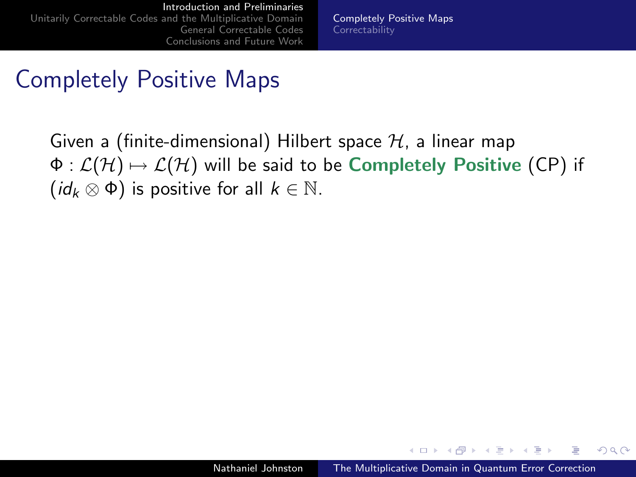[Completely Positive Maps](#page-3-0) **[Correctability](#page-9-0)** 

#### Completely Positive Maps

Given a (finite-dimensional) Hilbert space  $H$ , a linear map  $\Phi : \mathcal{L}(\mathcal{H}) \mapsto \mathcal{L}(\mathcal{H})$  will be said to be Completely Positive (CP) if  $(id_k \otimes \Phi)$  is positive for all  $k \in \mathbb{N}$ .

<span id="page-2-0"></span> $\sim$  m.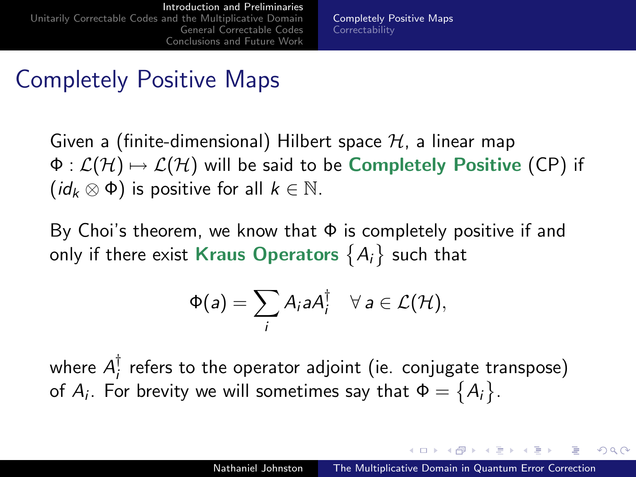[Completely Positive Maps](#page-2-0) **[Correctability](#page-9-0)** 

#### Completely Positive Maps

Given a (finite-dimensional) Hilbert space  $H$ , a linear map  $\Phi : \mathcal{L}(\mathcal{H}) \mapsto \mathcal{L}(\mathcal{H})$  will be said to be Completely Positive (CP) if  $(id_k \otimes \Phi)$  is positive for all  $k \in \mathbb{N}$ .

By Choi's theorem, we know that  $\Phi$  is completely positive if and only if there exist Kraus Operators  $\{A_i\}$  such that

$$
\Phi(a) = \sum_i A_i a A_i^{\dagger} \quad \forall \, a \in \mathcal{L}(\mathcal{H}),
$$

where  $A_i^{\dagger}$  $_{i}^{!}$  refers to the operator adjoint (ie. conjugate transpose) of  $A_i$ . For brevity we will sometimes say that  $\Phi = \big\{A_i\big\}$ .

<span id="page-3-0"></span>イロト イタト イモト イモトー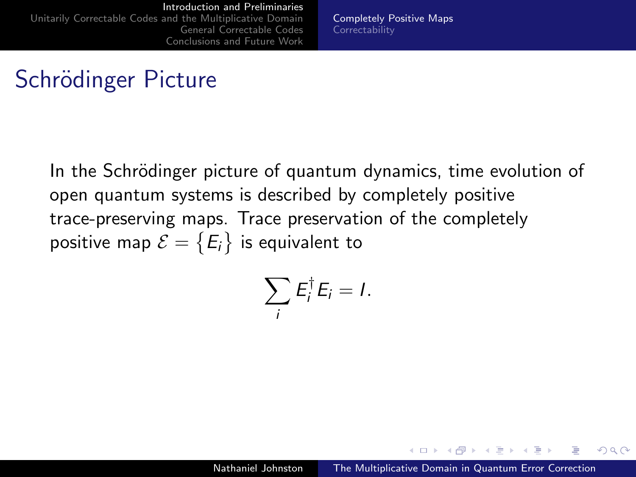[Completely Positive Maps](#page-2-0) **[Correctability](#page-9-0)** 

## Schrödinger Picture

In the Schrödinger picture of quantum dynamics, time evolution of open quantum systems is described by completely positive trace-preserving maps. Trace preservation of the completely positive map  $\mathcal{E}=\big\{\pmb{E_i}\big\}$  is equivalent to

$$
\sum_i E_i^{\dagger} E_i = I.
$$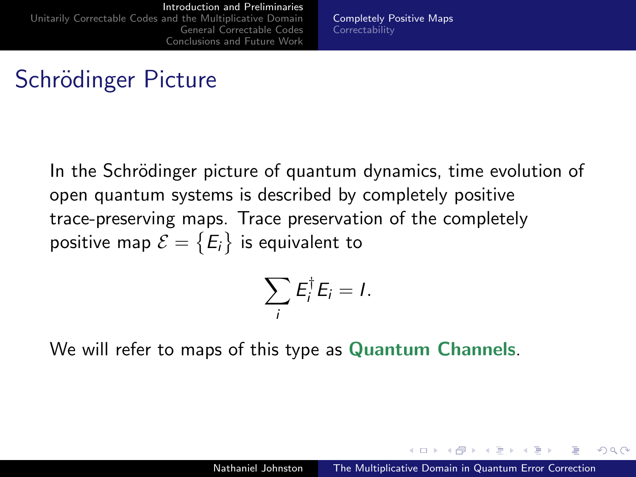[Completely Positive Maps](#page-2-0) **[Correctability](#page-9-0)** 

## Schrödinger Picture

In the Schrödinger picture of quantum dynamics, time evolution of open quantum systems is described by completely positive trace-preserving maps. Trace preservation of the completely positive map  $\mathcal{E}=\big\{\pmb{E_i}\big\}$  is equivalent to

$$
\sum_i E_i^{\dagger} E_i = I.
$$

We will refer to maps of this type as Quantum Channels.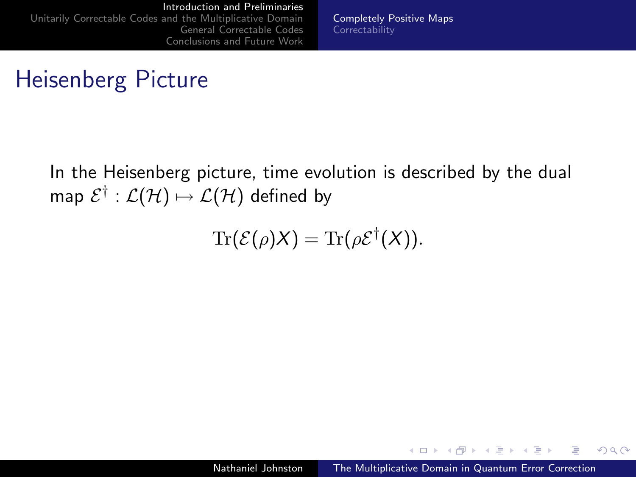[Completely Positive Maps](#page-2-0) **[Correctability](#page-9-0)** 

## Heisenberg Picture

In the Heisenberg picture, time evolution is described by the dual map  $\mathcal{E}^{\dagger}:\mathcal{L}(\mathcal{H})\mapsto\mathcal{L}(\mathcal{H})$  defined by

$$
\mathrm{Tr}(\mathcal{E}(\rho)X)=\mathrm{Tr}(\rho \mathcal{E}^{\dagger}(X)).
$$

 $\Box$  $\rightarrow$   $\pm$   $\rightarrow$   $QQ$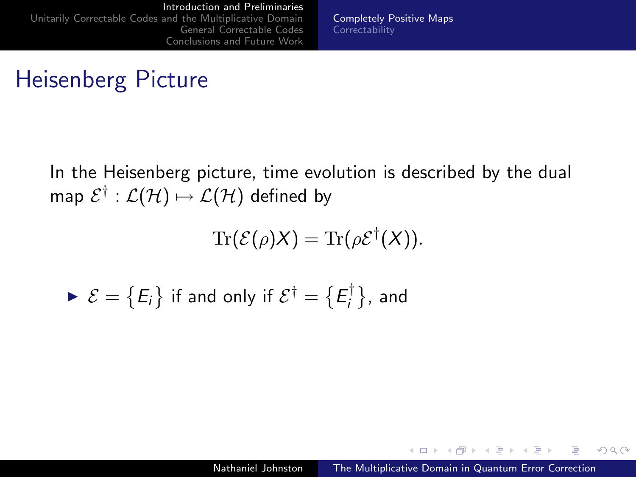[Completely Positive Maps](#page-2-0) **[Correctability](#page-9-0)** 

## Heisenberg Picture

In the Heisenberg picture, time evolution is described by the dual map  $\mathcal{E}^{\dagger}:\mathcal{L}(\mathcal{H})\mapsto\mathcal{L}(\mathcal{H})$  defined by

$$
\mathrm{Tr}(\mathcal{E}(\rho)X)=\mathrm{Tr}(\rho \mathcal{E}^{\dagger}(X)).
$$

$$
\blacktriangleright \mathcal{E} = \{E_i\} \text{ if and only if } \mathcal{E}^{\dagger} = \{E_i^{\dagger}\}, \text{ and}
$$

 $4.171$ 

 $\Box$  $\rightarrow$   $\pm$   $\rightarrow$   $QQ$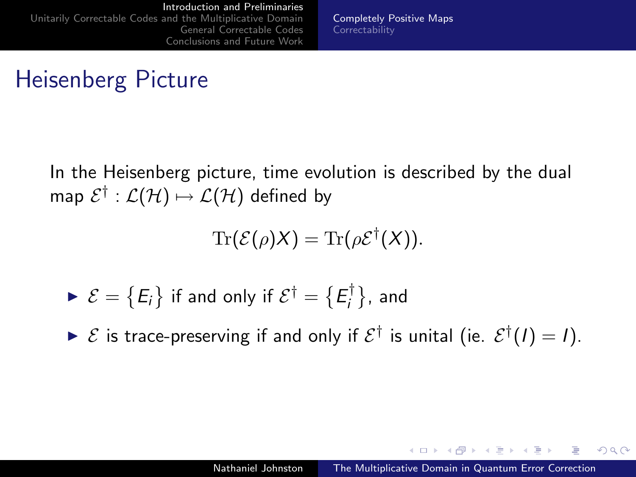[Completely Positive Maps](#page-2-0) **[Correctability](#page-9-0)** 

## Heisenberg Picture

In the Heisenberg picture, time evolution is described by the dual map  $\mathcal{E}^{\dagger}:\mathcal{L}(\mathcal{H})\mapsto\mathcal{L}(\mathcal{H})$  defined by

$$
\mathrm{Tr}(\mathcal{E}(\rho)X)=\mathrm{Tr}(\rho \mathcal{E}^{\dagger}(X)).
$$

$$
\blacktriangleright \mathcal{E} = \{E_i\} \text{ if and only if } \mathcal{E}^{\dagger} = \{E_i^{\dagger}\}, \text{ and}
$$

 $\triangleright \mathcal{E}$  is trace-preserving if and only if  $\mathcal{E}^{\dagger}$  is unital (ie.  $\mathcal{E}^{\dagger}(I) = I$ ).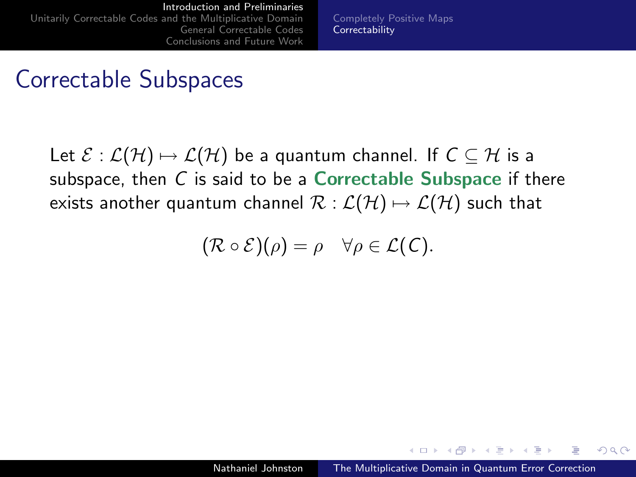[Completely Positive Maps](#page-2-0) **[Correctability](#page-11-0)** 

#### Correctable Subspaces

Let  $\mathcal{E} : \mathcal{L}(\mathcal{H}) \mapsto \mathcal{L}(\mathcal{H})$  be a quantum channel. If  $C \subseteq \mathcal{H}$  is a subspace, then  $C$  is said to be a **Correctable Subspace** if there exists another quantum channel  $\mathcal{R} : \mathcal{L}(\mathcal{H}) \mapsto \mathcal{L}(\mathcal{H})$  such that

$$
(\mathcal{R}\circ\mathcal{E})(\rho)=\rho\quad\forall\rho\in\mathcal{L}(C).
$$

<span id="page-9-0"></span> $\mathcal{A}$  and  $\mathcal{A}$  in the set of  $\mathcal{B}$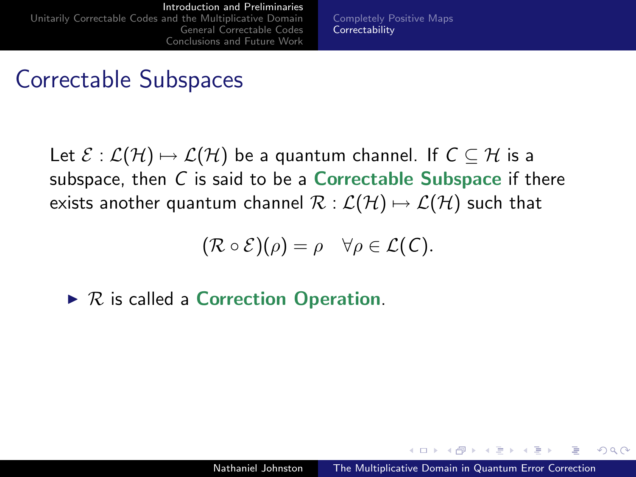[Completely Positive Maps](#page-2-0) **[Correctability](#page-11-0)** 

#### Correctable Subspaces

Let  $\mathcal{E} : \mathcal{L}(\mathcal{H}) \mapsto \mathcal{L}(\mathcal{H})$  be a quantum channel. If  $C \subseteq \mathcal{H}$  is a subspace, then  $C$  is said to be a **Correctable Subspace** if there exists another quantum channel  $\mathcal{R} : \mathcal{L}(\mathcal{H}) \mapsto \mathcal{L}(\mathcal{H})$  such that

$$
(\mathcal{R}\circ\mathcal{E})(\rho)=\rho\quad\forall\rho\in\mathcal{L}(C).
$$

 $\triangleright$  R is called a Correction Operation.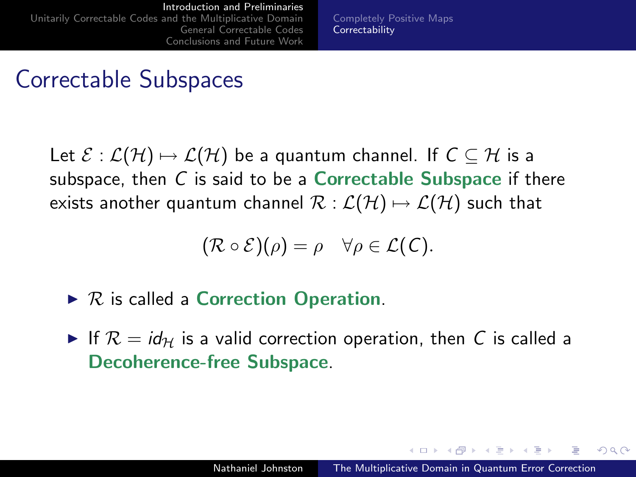[Completely Positive Maps](#page-2-0) **[Correctability](#page-9-0)** 

#### Correctable Subspaces

Let  $\mathcal{E} : \mathcal{L}(\mathcal{H}) \mapsto \mathcal{L}(\mathcal{H})$  be a quantum channel. If  $C \subseteq \mathcal{H}$  is a subspace, then  $C$  is said to be a **Correctable Subspace** if there exists another quantum channel  $\mathcal{R} : \mathcal{L}(\mathcal{H}) \mapsto \mathcal{L}(\mathcal{H})$  such that

<span id="page-11-0"></span>
$$
(\mathcal{R}\circ\mathcal{E})(\rho)=\rho\quad\forall\rho\in\mathcal{L}(\mathcal{C}).
$$

- $\triangleright$  R is called a Correction Operation.
- If  $\mathcal{R} = id_{\mathcal{H}}$  is a valid correction operation, then C is called a Decoherence-free Subspace.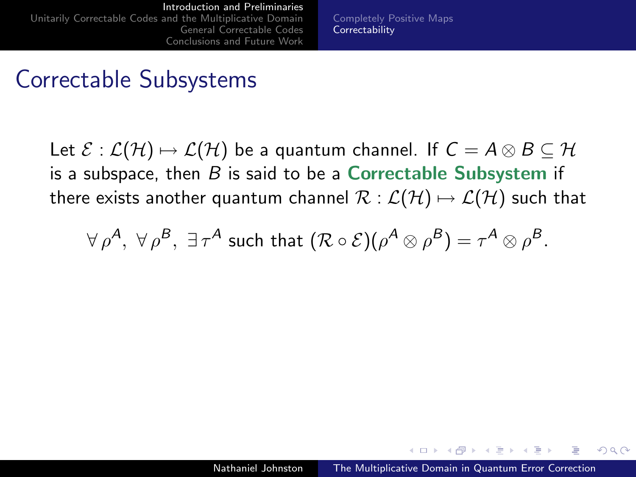[Completely Positive Maps](#page-2-0) **[Correctability](#page-9-0)** 

#### Correctable Subsystems

Let  $\mathcal{E} : \mathcal{L}(\mathcal{H}) \mapsto \mathcal{L}(\mathcal{H})$  be a quantum channel. If  $C = A \otimes B \subseteq \mathcal{H}$ is a subspace, then  $B$  is said to be a Correctable Subsystem if there exists another quantum channel  $\mathcal{R}: \mathcal{L}(\mathcal{H}) \mapsto \mathcal{L}(\mathcal{H})$  such that

$$
\forall \, \rho^{\boldsymbol{A}}, \; \forall \, \rho^{\boldsymbol{B}}, \; \exists \, \tau^{\boldsymbol{A}} \; \text{such that} \; (\mathcal{R} \circ \mathcal{E})(\rho^{\boldsymbol{A}} \otimes \rho^{\boldsymbol{B}}) = \tau^{\boldsymbol{A}} \otimes \rho^{\boldsymbol{B}}.
$$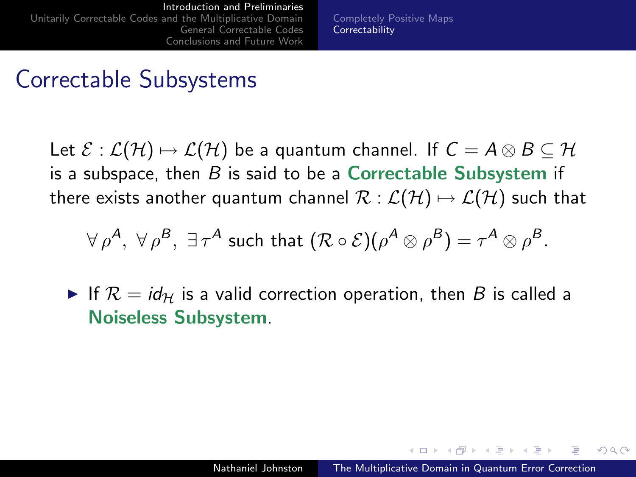[Completely Positive Maps](#page-2-0) **[Correctability](#page-9-0)** 

#### Correctable Subsystems

Let  $\mathcal{E} : \mathcal{L}(\mathcal{H}) \mapsto \mathcal{L}(\mathcal{H})$  be a quantum channel. If  $C = A \otimes B \subseteq \mathcal{H}$ is a subspace, then  $B$  is said to be a Correctable Subsystem if there exists another quantum channel  $\mathcal{R}: \mathcal{L}(\mathcal{H}) \mapsto \mathcal{L}(\mathcal{H})$  such that

$$
\forall \, \rho^{\mathcal{A}}, \; \forall \, \rho^{\mathcal{B}}, \; \exists \, \tau^{\mathcal{A}} \; \text{such that} \; (\mathcal{R} \circ \mathcal{E})(\rho^{\mathcal{A}} \otimes \rho^{\mathcal{B}}) = \tau^{\mathcal{A}} \otimes \rho^{\mathcal{B}}.
$$

If  $\mathcal{R} = id_{\mathcal{H}}$  is a valid correction operation, then B is called a Noiseless Subsystem.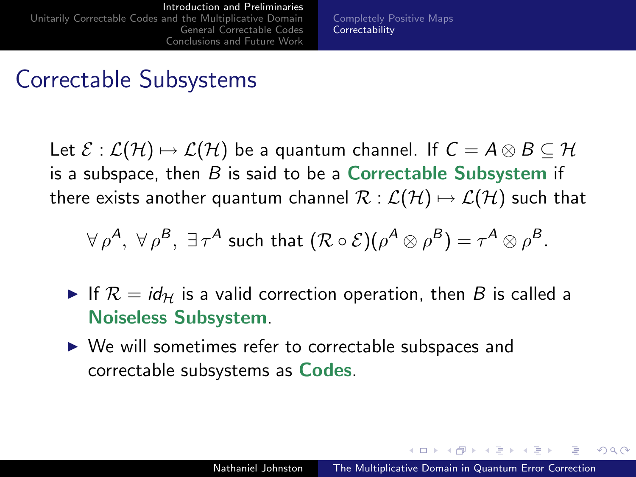[Completely Positive Maps](#page-2-0) **[Correctability](#page-9-0)** 

#### Correctable Subsystems

Let  $\mathcal{E} : \mathcal{L}(\mathcal{H}) \mapsto \mathcal{L}(\mathcal{H})$  be a quantum channel. If  $C = A \otimes B \subseteq \mathcal{H}$ is a subspace, then  $B$  is said to be a Correctable Subsystem if there exists another quantum channel  $\mathcal{R}: \mathcal{L}(\mathcal{H}) \mapsto \mathcal{L}(\mathcal{H})$  such that

$$
\forall \, \rho^{\mathcal{A}}, \; \forall \, \rho^{\mathcal{B}}, \; \exists \, \tau^{\mathcal{A}} \; \text{such that} \; (\mathcal{R} \circ \mathcal{E})(\rho^{\mathcal{A}} \otimes \rho^{\mathcal{B}}) = \tau^{\mathcal{A}} \otimes \rho^{\mathcal{B}}.
$$

- If  $\mathcal{R} = id_{\mathcal{H}}$  is a valid correction operation, then B is called a Noiseless Subsystem.
- $\triangleright$  We will sometimes refer to correctable subspaces and correctable subsystems as Codes.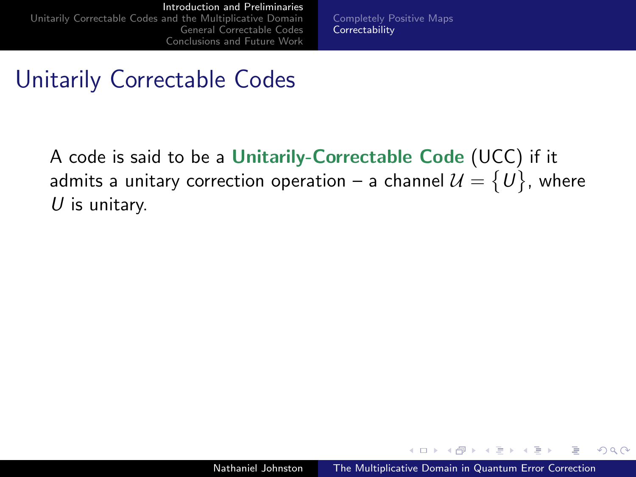[Completely Positive Maps](#page-2-0) **[Correctability](#page-9-0)** 

#### Unitarily Correctable Codes

A code is said to be a Unitarily-Correctable Code (UCC) if it admits a unitary correction operation – a channel  $\mathcal{U}=\set{U},$  where  $U$  is unitary.

 $\sim$   $-$ 

 $\Box$  $\rightarrow$   $\pm$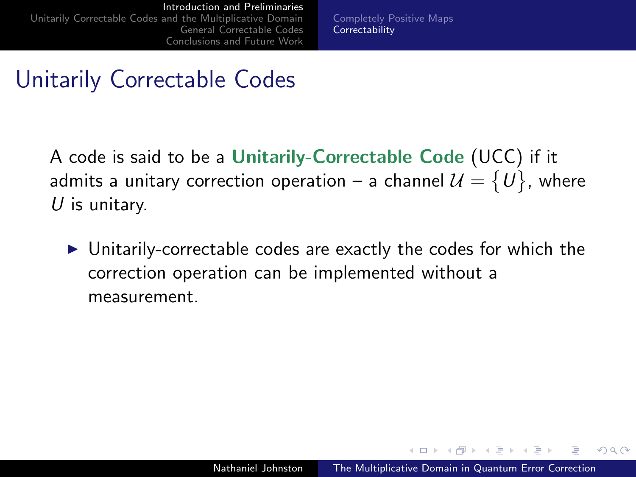[Completely Positive Maps](#page-2-0) **[Correctability](#page-9-0)** 

## Unitarily Correctable Codes

A code is said to be a Unitarily-Correctable Code (UCC) if it admits a unitary correction operation – a channel  $\mathcal{U}=\set{U},$  where  $U$  is unitary.

 $\triangleright$  Unitarily-correctable codes are exactly the codes for which the correction operation can be implemented without a measurement.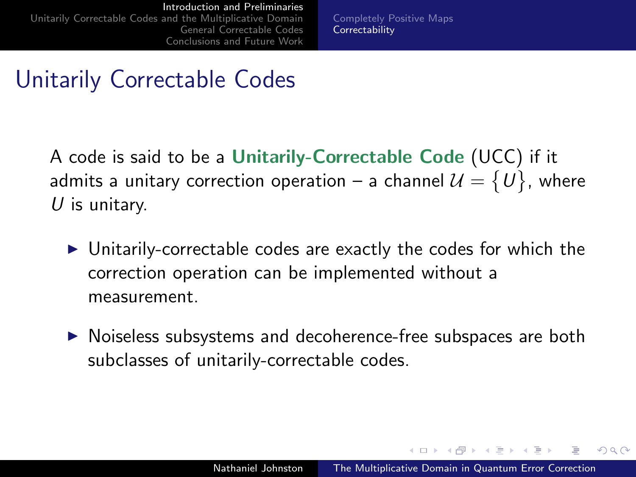[Completely Positive Maps](#page-2-0) **[Correctability](#page-9-0)** 

## Unitarily Correctable Codes

A code is said to be a Unitarily-Correctable Code (UCC) if it admits a unitary correction operation – a channel  $\mathcal{U}=\set{U},$  where  $U$  is unitary.

- $\triangleright$  Unitarily-correctable codes are exactly the codes for which the correction operation can be implemented without a measurement.
- $\triangleright$  Noiseless subsystems and decoherence-free subspaces are both subclasses of unitarily-correctable codes.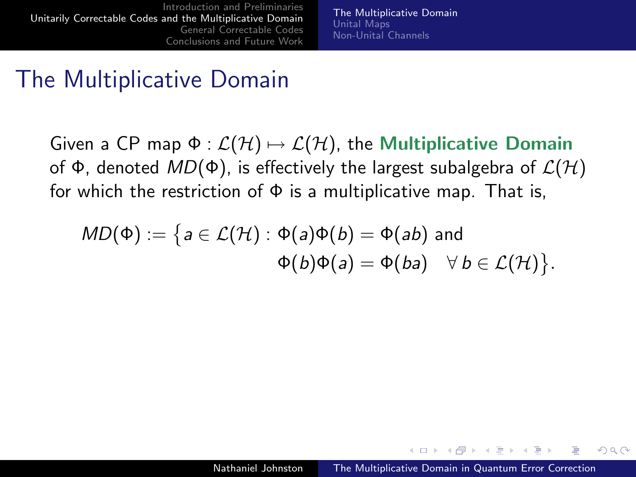<span id="page-18-0"></span>[The Multiplicative Domain](#page-20-0) [Unital Maps](#page-21-0) [Non-Unital Channels](#page-37-0)

#### The Multiplicative Domain

Given a CP map  $\Phi : \mathcal{L}(\mathcal{H}) \mapsto \mathcal{L}(\mathcal{H})$ , the Multiplicative Domain of Φ, denoted  $MD(\Phi)$ , is effectively the largest subalgebra of  $\mathcal{L}(\mathcal{H})$ for which the restriction of  $\Phi$  is a multiplicative map. That is,

$$
MD(\Phi) := \big\{ a \in \mathcal{L}(\mathcal{H}) : \Phi(a)\Phi(b) = \Phi(ab) \text{ and } \Phi(b)\Phi(a) = \Phi(ba) \quad \forall \ b \in \mathcal{L}(\mathcal{H}) \big\}.
$$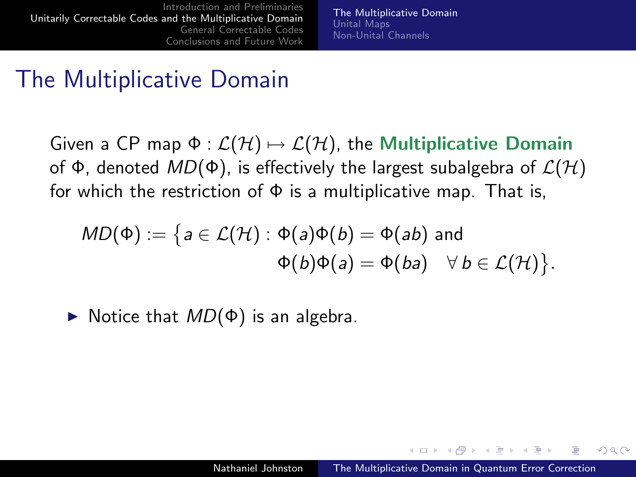[The Multiplicative Domain](#page-20-0) [Unital Maps](#page-21-0) [Non-Unital Channels](#page-37-0)

#### The Multiplicative Domain

Given a CP map  $\Phi : \mathcal{L}(\mathcal{H}) \mapsto \mathcal{L}(\mathcal{H})$ , the Multiplicative Domain of Φ, denoted  $MD(\Phi)$ , is effectively the largest subalgebra of  $\mathcal{L}(\mathcal{H})$ for which the restriction of  $\Phi$  is a multiplicative map. That is,

$$
MD(\Phi) := \big\{ a \in \mathcal{L}(\mathcal{H}) : \Phi(a)\Phi(b) = \Phi(ab) \text{ and } \Phi(b)\Phi(a) = \Phi(ba) \quad \forall \ b \in \mathcal{L}(\mathcal{H}) \big\}.
$$

 $\triangleright$  Notice that  $MD(\Phi)$  is an algebra.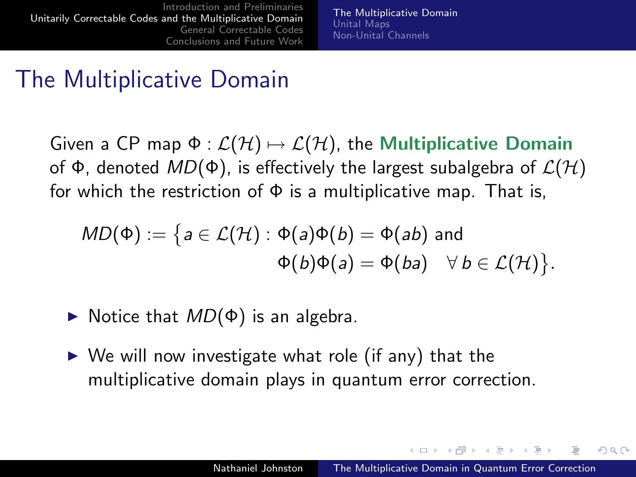[The Multiplicative Domain](#page-18-0) [Unital Maps](#page-21-0) [Non-Unital Channels](#page-37-0)

#### The Multiplicative Domain

Given a CP map  $\Phi : \mathcal{L}(\mathcal{H}) \mapsto \mathcal{L}(\mathcal{H})$ , the Multiplicative Domain of Φ, denoted  $MD(\Phi)$ , is effectively the largest subalgebra of  $\mathcal{L}(\mathcal{H})$ for which the restriction of  $\Phi$  is a multiplicative map. That is,

$$
MD(\Phi) := \big\{ a \in \mathcal{L}(\mathcal{H}) : \Phi(a)\Phi(b) = \Phi(ab) \text{ and } \Phi(b)\Phi(a) = \Phi(ba) \quad \forall \ b \in \mathcal{L}(\mathcal{H}) \big\}.
$$

- $\triangleright$  Notice that  $MD(\Phi)$  is an algebra.
- $\triangleright$  We will now investigate what role (if any) that the multiplicative domain plays in quantum error correction.

<span id="page-20-0"></span>→ 何 ▶ → ヨ ▶ → ヨ ▶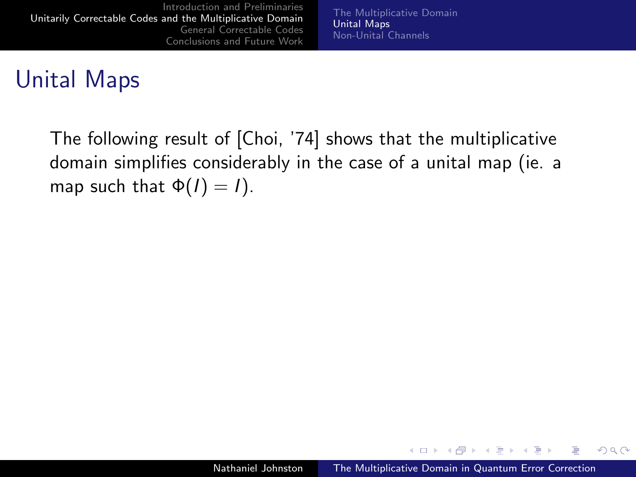[The Multiplicative Domain](#page-18-0) [Unital Maps](#page-23-0) [Non-Unital Channels](#page-37-0)

#### Unital Maps

The following result of [Choi, '74] shows that the multiplicative domain simplifies considerably in the case of a unital map (ie. a map such that  $\Phi(I) = I$ .

4.000.00

∢ 何 ▶ → ヨ ▶ → ヨ ▶

<span id="page-21-0"></span> $QQ$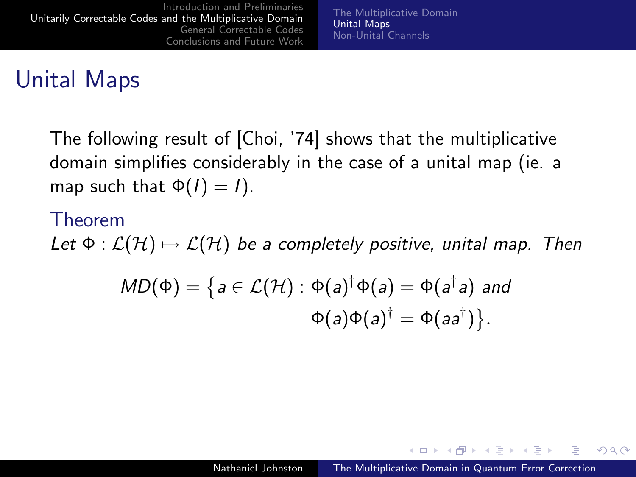## Unital Maps

The following result of [Choi, '74] shows that the multiplicative domain simplifies considerably in the case of a unital map (ie. a map such that  $\Phi(I) = I$ ).

#### Theorem

Let  $\Phi : \mathcal{L}(\mathcal{H}) \mapsto \mathcal{L}(\mathcal{H})$  be a completely positive, unital map. Then

$$
MD(\Phi) = \left\{ a \in \mathcal{L}(\mathcal{H}) : \Phi(a)^{\dagger} \Phi(a) = \Phi(a^{\dagger} a) \text{ and } \Phi(a) \Phi(a)^{\dagger} = \Phi(aa^{\dagger}) \right\}.
$$

and the first

- ④ (印) → ④ (日) → ④ (日) →

 $200$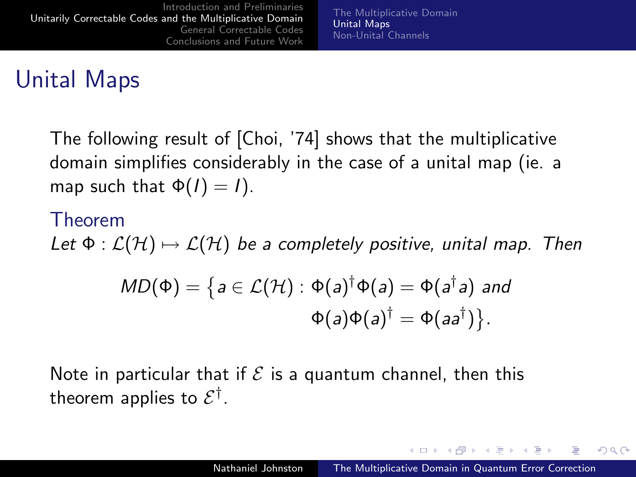## Unital Maps

The following result of [Choi, '74] shows that the multiplicative domain simplifies considerably in the case of a unital map (ie. a map such that  $\Phi(I) = I$ ).

#### Theorem

Let  $\Phi : \mathcal{L}(\mathcal{H}) \mapsto \mathcal{L}(\mathcal{H})$  be a completely positive, unital map. Then

$$
MD(\Phi) = \left\{ a \in \mathcal{L}(\mathcal{H}) : \Phi(a)^{\dagger} \Phi(a) = \Phi(a^{\dagger} a) \text{ and } \Phi(a) \Phi(a)^{\dagger} = \Phi(aa^{\dagger}) \right\}.
$$

Note in particular that if  $\mathcal E$  is a quantum channel, then this theorem applies to  $\mathcal{E}^{\dagger}.$ 

<span id="page-23-0"></span>メロメ メ母メ メミメ メミメ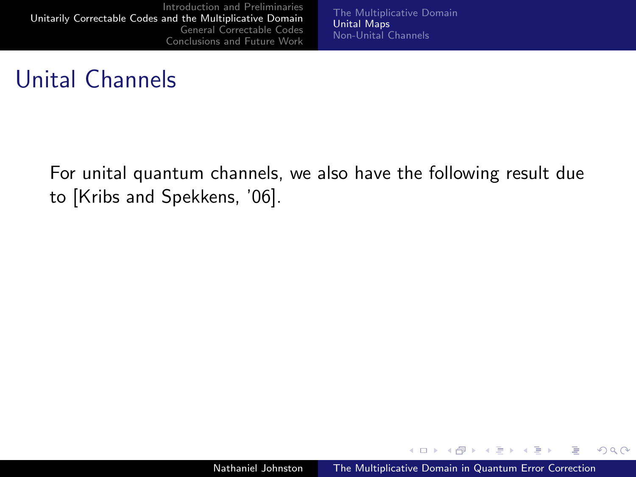[The Multiplicative Domain](#page-18-0) [Unital Maps](#page-21-0) [Non-Unital Channels](#page-37-0)

#### Unital Channels

For unital quantum channels, we also have the following result due to [Kribs and Spekkens, '06].

4.000.00

→ 何 ▶ → 手 ▶ → 手

 $QQ$ 

э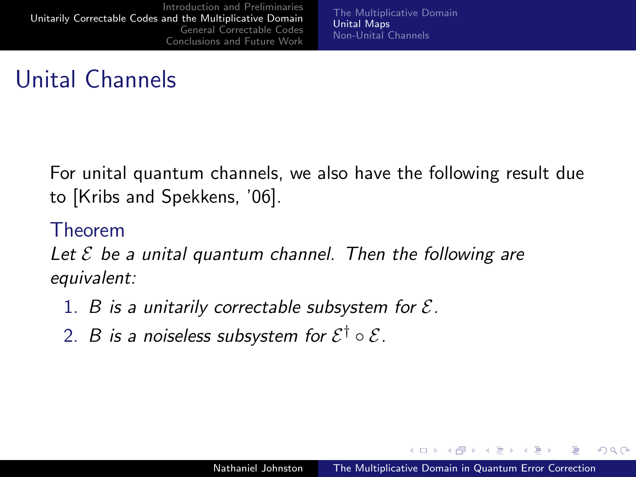[The Multiplicative Domain](#page-18-0) [Unital Maps](#page-21-0) [Non-Unital Channels](#page-37-0)

## Unital Channels

For unital quantum channels, we also have the following result due to [Kribs and Spekkens, '06].

#### Theorem

Let  $\mathcal E$  be a unital quantum channel. Then the following are equivalent:

- 1. B is a unitarily correctable subsystem for  $\mathcal{E}$ .
- 2.  $\,B\,$  is a noiseless subsystem for  $\mathcal{E}^{\dagger}\circ\mathcal{E}.$

 $\rightarrow$   $\pm$   $\rightarrow$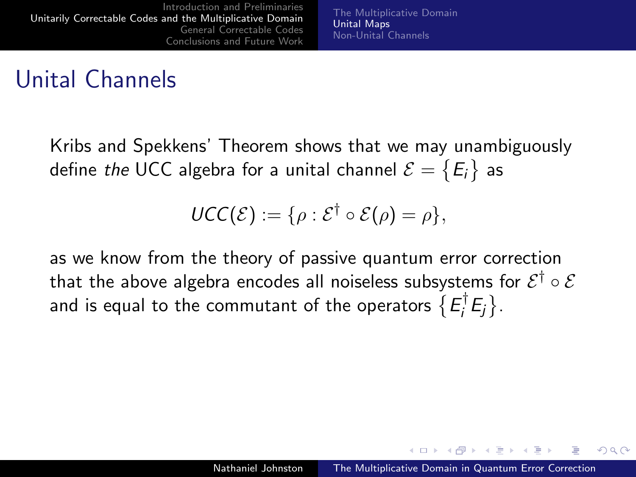## Unital Channels

Kribs and Spekkens' Theorem shows that we may unambiguously define *the* UCC algebra for a unital channel  $\mathcal{E}=\big\{\mathsf{E}_i\big\}$  as

$$
\mathsf{UCC}(\mathcal{E}) := \{ \rho : \mathcal{E}^{\dagger} \circ \mathcal{E}(\rho) = \rho \},
$$

as we know from the theory of passive quantum error correction that the above algebra encodes all noiseless subsystems for  $\mathcal{E}^{\dagger} \circ \mathcal{E}$ and is equal to the commutant of the operators  $\{E_i^{\dagger}$  $\left\{E_j\right\}.$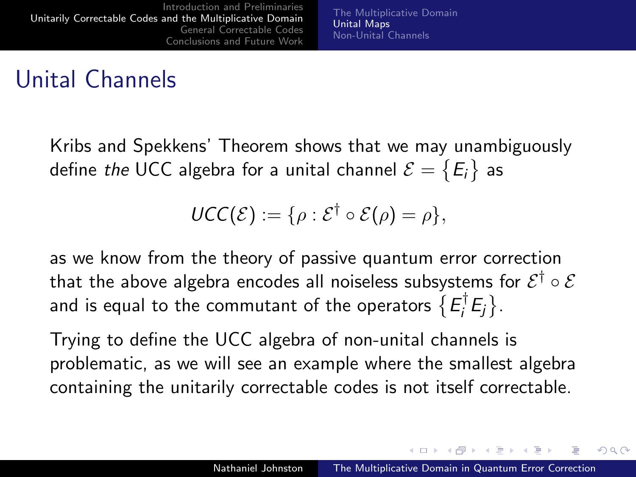## Unital Channels

Kribs and Spekkens' Theorem shows that we may unambiguously define *the* UCC algebra for a unital channel  $\mathcal{E}=\big\{\mathsf{E}_i\big\}$  as

$$
\mathsf{UCC}(\mathcal{E}) := \{ \rho : \mathcal{E}^{\dagger} \circ \mathcal{E}(\rho) = \rho \},
$$

as we know from the theory of passive quantum error correction that the above algebra encodes all noiseless subsystems for  $\mathcal{E}^{\dagger} \circ \mathcal{E}$ and is equal to the commutant of the operators  $\{E_i^{\dagger}$  $\left\{E_j\right\}.$ 

Trying to define the UCC algebra of non-unital channels is problematic, as we will see an example where the smallest algebra containing the unitarily correctable codes is not itself correctable.

→ イ母 ト イヨ ト イヨ ト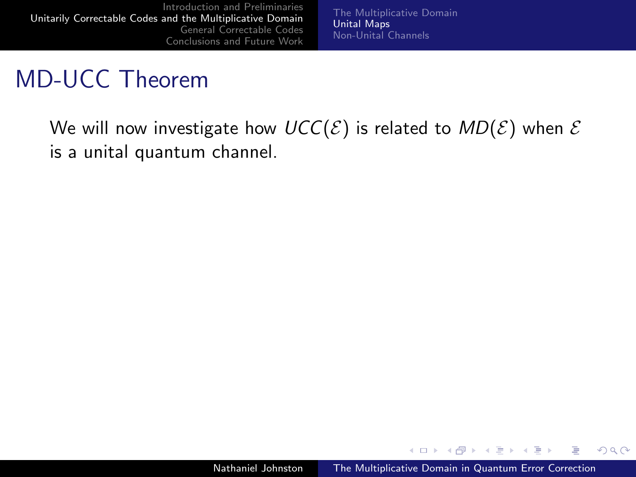[The Multiplicative Domain](#page-18-0) [Unital Maps](#page-21-0) [Non-Unital Channels](#page-37-0)

## MD-UCC Theorem

We will now investigate how  $UCC(\mathcal{E})$  is related to  $MD(\mathcal{E})$  when  $\mathcal E$ is a unital quantum channel.

4.000.00

→ (母) > → ヨ) → → ヨ)>

 $QQ$ 

э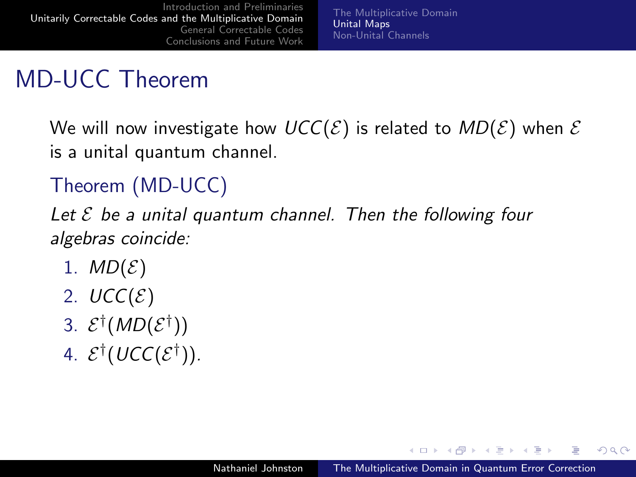[The Multiplicative Domain](#page-18-0) [Unital Maps](#page-21-0) [Non-Unital Channels](#page-37-0)

# MD-UCC Theorem

We will now investigate how  $UCC(\mathcal{E})$  is related to  $MD(\mathcal{E})$  when  $\mathcal E$ is a unital quantum channel.

#### Theorem (MD-UCC)

Let  $\mathcal E$  be a unital quantum channel. Then the following four algebras coincide:

- 1.  $MD(\mathcal{E})$
- 2.  $UCC(\mathcal{E})$
- 3.  $\mathcal{E}^{\dagger}(MD(\mathcal{E}^{\dagger}))$
- 4.  $\mathcal{E}^{\dagger}(\mathit{UCC}(\mathcal{E}^{\dagger}))$ .

a mills

 $\overline{a}$   $\overline{a}$  $\rightarrow$   $\pm$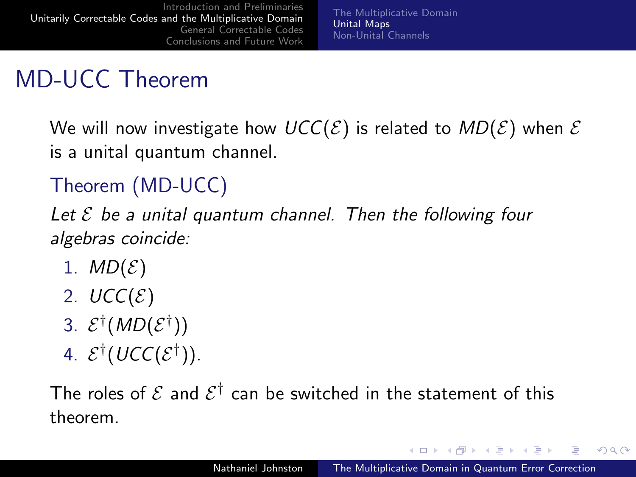[The Multiplicative Domain](#page-18-0) [Unital Maps](#page-21-0) [Non-Unital Channels](#page-37-0)

# MD-UCC Theorem

We will now investigate how  $UCC(\mathcal{E})$  is related to  $MD(\mathcal{E})$  when  $\mathcal E$ is a unital quantum channel.

#### Theorem (MD-UCC)

Let  $\mathcal E$  be a unital quantum channel. Then the following four algebras coincide:

- 1.  $MD(\mathcal{E})$
- 2.  $UCC(\mathcal{E})$
- 3.  $\mathcal{E}^{\dagger}(MD(\mathcal{E}^{\dagger}))$
- 4.  $\mathcal{E}^{\dagger}(\mathit{UCC}(\mathcal{E}^{\dagger}))$ .

The roles of  ${\mathcal E}$  and  ${\mathcal E}^{\dagger}$  can be switched in the statement of this theorem.

4.000.00

 $\mathcal{A} \leftarrow \mathcal{A} \leftarrow \mathcal{A} \leftarrow \mathcal{A}$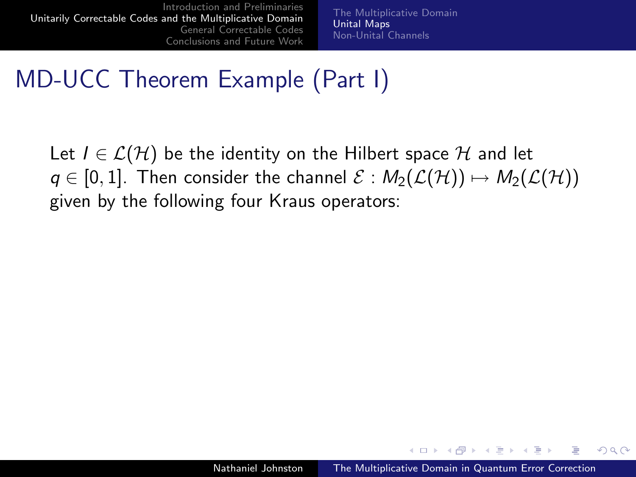[The Multiplicative Domain](#page-18-0) [Unital Maps](#page-21-0) [Non-Unital Channels](#page-37-0)

## MD-UCC Theorem Example (Part I)

Let  $I \in \mathcal{L}(\mathcal{H})$  be the identity on the Hilbert space  $\mathcal{H}$  and let  $q \in [0,1]$ . Then consider the channel  $\mathcal{E}: M_2(\mathcal{L}(\mathcal{H})) \mapsto M_2(\mathcal{L}(\mathcal{H}))$ given by the following four Kraus operators:

 $\mathcal{A}$  and  $\mathcal{A}$  in the form  $\mathcal{A}$  in the following  $\mathcal{A}$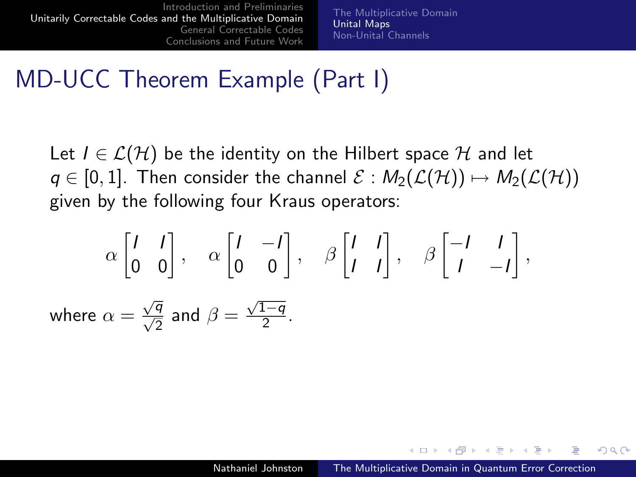[The Multiplicative Domain](#page-18-0) [Unital Maps](#page-21-0) [Non-Unital Channels](#page-37-0)

#### MD-UCC Theorem Example (Part I)

Let  $I \in \mathcal{L}(\mathcal{H})$  be the identity on the Hilbert space  $\mathcal{H}$  and let  $q \in [0,1]$ . Then consider the channel  $\mathcal{E}: M_2(\mathcal{L}(\mathcal{H})) \mapsto M_2(\mathcal{L}(\mathcal{H}))$ given by the following four Kraus operators:

$$
\alpha \begin{bmatrix} 1 & 1 \\ 0 & 0 \end{bmatrix}, \quad \alpha \begin{bmatrix} 1 & -1 \\ 0 & 0 \end{bmatrix}, \quad \beta \begin{bmatrix} 1 & 1 \\ 1 & 1 \end{bmatrix}, \quad \beta \begin{bmatrix} -1 & 1 \\ 1 & -1 \end{bmatrix},
$$
  
where  $\alpha = \frac{\sqrt{q}}{\sqrt{2}}$  and  $\beta = \frac{\sqrt{1-q}}{2}$ .

 $\mathcal{A}$  and  $\mathcal{A}$  in the set of  $\mathbb{R}$  is a set of  $\mathbb{R}$  is a set of  $\mathbb{R}$  is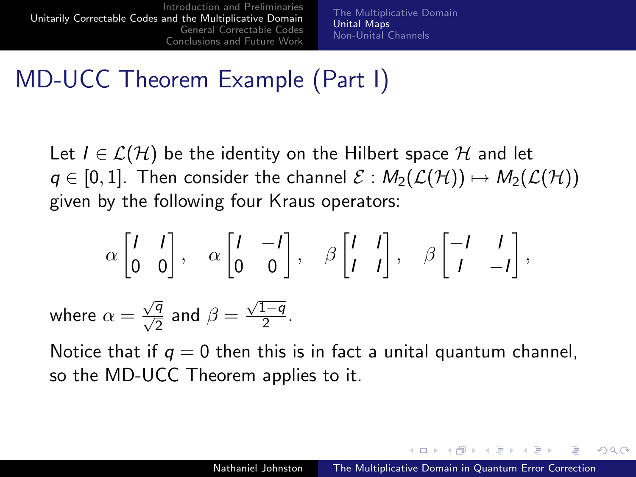[The Multiplicative Domain](#page-18-0) [Unital Maps](#page-21-0) [Non-Unital Channels](#page-37-0)

## MD-UCC Theorem Example (Part I)

Let  $I \in \mathcal{L}(\mathcal{H})$  be the identity on the Hilbert space  $\mathcal{H}$  and let  $q \in [0,1]$ . Then consider the channel  $\mathcal{E}: M_2(\mathcal{L}(\mathcal{H})) \mapsto M_2(\mathcal{L}(\mathcal{H}))$ given by the following four Kraus operators:

$$
\alpha \begin{bmatrix} 1 & 1 \\ 0 & 0 \end{bmatrix}, \quad \alpha \begin{bmatrix} 1 & -1 \\ 0 & 0 \end{bmatrix}, \quad \beta \begin{bmatrix} 1 & 1 \\ 1 & 1 \end{bmatrix}, \quad \beta \begin{bmatrix} -1 & 1 \\ 1 & -1 \end{bmatrix},
$$
  
where  $\alpha = \frac{\sqrt{q}}{\sqrt{2}}$  and  $\beta = \frac{\sqrt{1-q}}{2}$ .

Notice that if  $q = 0$  then this is in fact a unital quantum channel, so the MD-UCC Theorem applies to it.

メ 何 ト メ ヨ ト メ ヨ ト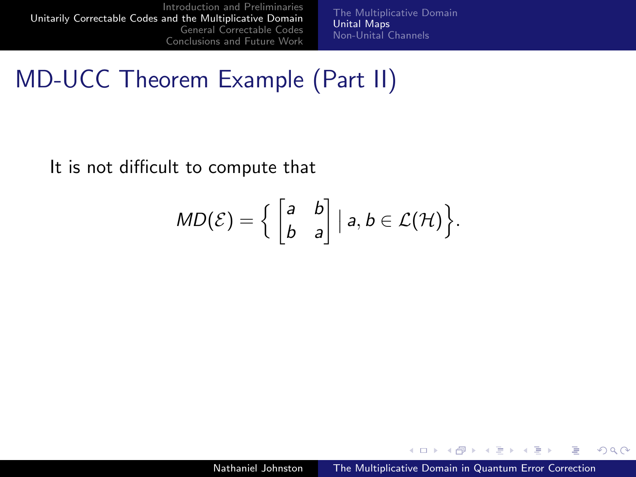[The Multiplicative Domain](#page-18-0) [Unital Maps](#page-21-0) [Non-Unital Channels](#page-37-0)

## MD-UCC Theorem Example (Part II)

It is not difficult to compute that

$$
MD(\mathcal{E}) = \Big\{ \begin{bmatrix} a & b \\ b & a \end{bmatrix} \big| a, b \in \mathcal{L}(\mathcal{H}) \Big\}.
$$

4.000.00

→ (母) > → ヨ) → → ヨ)>

 $299$ 

э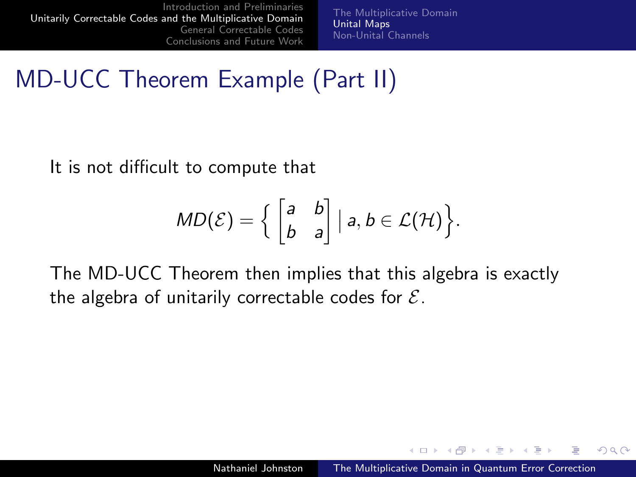[The Multiplicative Domain](#page-18-0) [Unital Maps](#page-21-0) [Non-Unital Channels](#page-37-0)

MD-UCC Theorem Example (Part II)

It is not difficult to compute that

$$
MD(\mathcal{E}) = \Big\{ \begin{bmatrix} a & b \\ b & a \end{bmatrix} \big| a, b \in \mathcal{L}(\mathcal{H}) \Big\}.
$$

The MD-UCC Theorem then implies that this algebra is exactly the algebra of unitarily correctable codes for  $\mathcal{E}$ .

a mills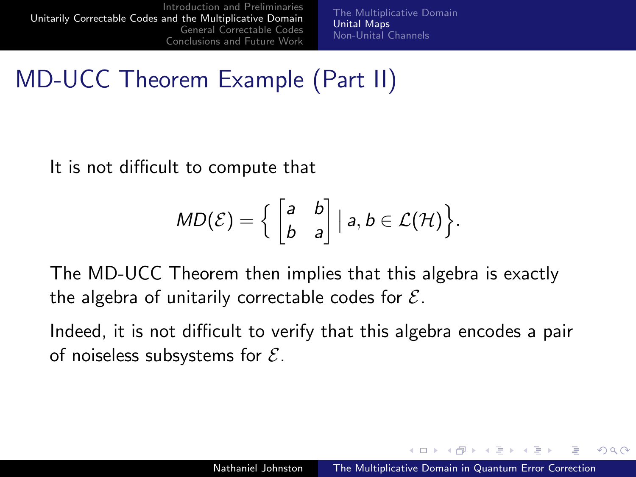[The Multiplicative Domain](#page-18-0) [Unital Maps](#page-21-0) [Non-Unital Channels](#page-37-0)

MD-UCC Theorem Example (Part II)

It is not difficult to compute that

$$
MD(\mathcal{E}) = \Big\{ \begin{bmatrix} a & b \\ b & a \end{bmatrix} \big| a, b \in \mathcal{L}(\mathcal{H}) \Big\}.
$$

The MD-UCC Theorem then implies that this algebra is exactly the algebra of unitarily correctable codes for  $\mathcal{E}$ .

Indeed, it is not difficult to verify that this algebra encodes a pair of noiseless subsystems for  $\mathcal{E}$ .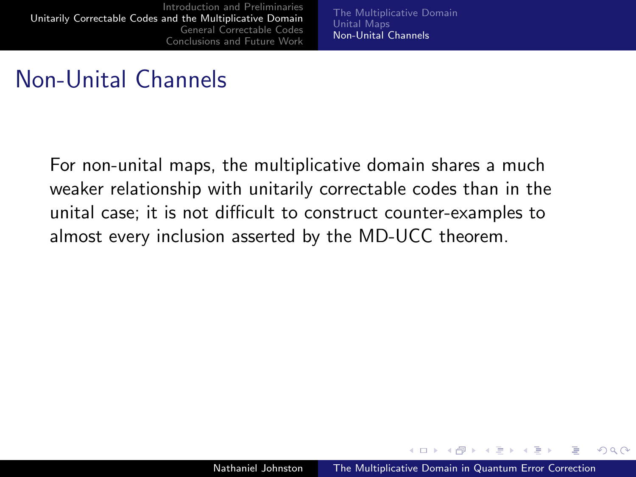[The Multiplicative Domain](#page-18-0) [Unital Maps](#page-21-0) [Non-Unital Channels](#page-38-0)

#### Non-Unital Channels

For non-unital maps, the multiplicative domain shares a much weaker relationship with unitarily correctable codes than in the unital case; it is not difficult to construct counter-examples to almost every inclusion asserted by the MD-UCC theorem.

<span id="page-37-0"></span> $\rightarrow$   $\pm$   $\rightarrow$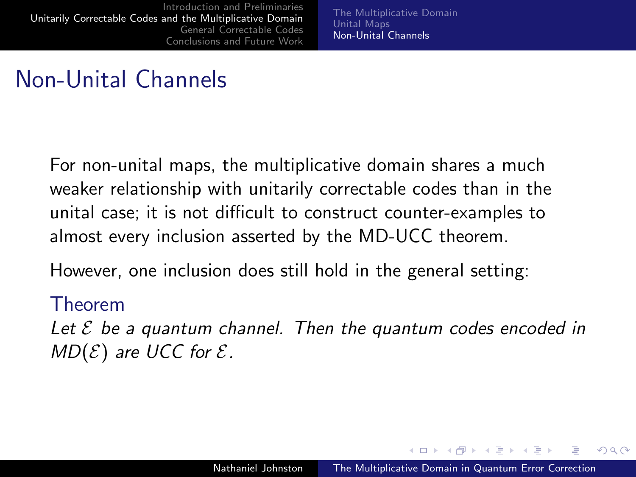[The Multiplicative Domain](#page-18-0) [Unital Maps](#page-21-0) [Non-Unital Channels](#page-37-0)

## Non-Unital Channels

For non-unital maps, the multiplicative domain shares a much weaker relationship with unitarily correctable codes than in the unital case; it is not difficult to construct counter-examples to almost every inclusion asserted by the MD-UCC theorem.

However, one inclusion does still hold in the general setting:

#### Theorem

Let  $\mathcal E$  be a quantum channel. Then the quantum codes encoded in  $MD(\mathcal{E})$  are UCC for  $\mathcal{E}$ .

<span id="page-38-0"></span>マート マニューエム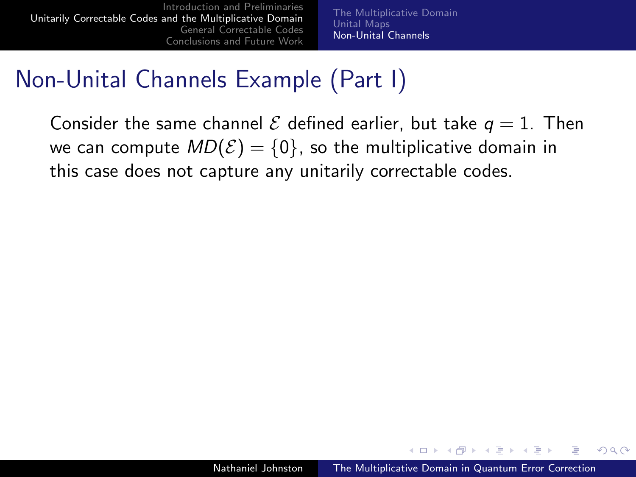[The Multiplicative Domain](#page-18-0) [Unital Maps](#page-21-0) [Non-Unital Channels](#page-37-0)

## Non-Unital Channels Example (Part I)

Consider the same channel  $\mathcal E$  defined earlier, but take  $q=1$ . Then we can compute  $MD(\mathcal{E}) = \{0\}$ , so the multiplicative domain in this case does not capture any unitarily correctable codes.

 $4 - \overline{m}$   $\rightarrow$   $\rightarrow$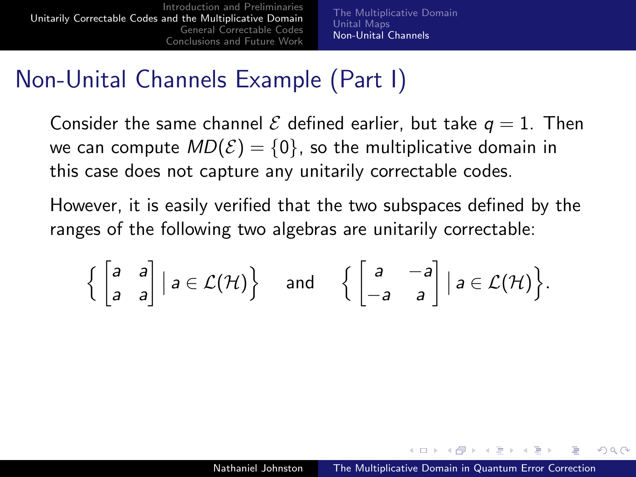[The Multiplicative Domain](#page-18-0) [Unital Maps](#page-21-0) [Non-Unital Channels](#page-37-0)

## Non-Unital Channels Example (Part I)

Consider the same channel  $\mathcal E$  defined earlier, but take  $q=1$ . Then we can compute  $MD(\mathcal{E}) = \{0\}$ , so the multiplicative domain in this case does not capture any unitarily correctable codes.

However, it is easily verified that the two subspaces defined by the ranges of the following two algebras are unitarily correctable:

$$
\left\{ \begin{bmatrix} a & a \\ a & a \end{bmatrix} \middle| a \in \mathcal{L}(\mathcal{H}) \right\} \quad \text{and} \quad \left\{ \begin{bmatrix} a & -a \\ -a & a \end{bmatrix} \middle| a \in \mathcal{L}(\mathcal{H}) \right\}.
$$

**Advition**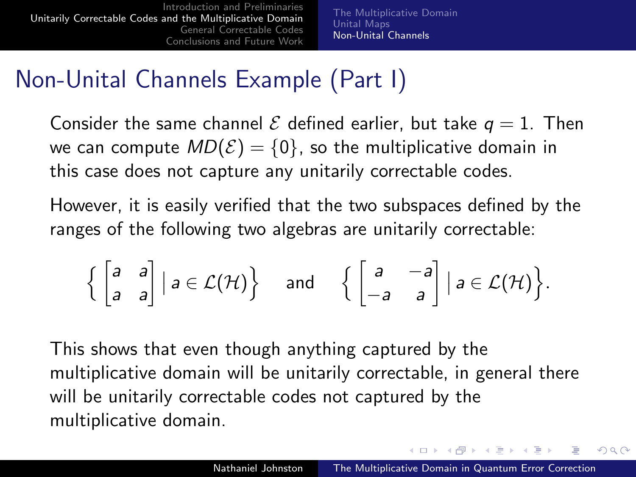[The Multiplicative Domain](#page-18-0) [Unital Maps](#page-21-0) [Non-Unital Channels](#page-37-0)

## Non-Unital Channels Example (Part I)

Consider the same channel  $\mathcal E$  defined earlier, but take  $q=1$ . Then we can compute  $MD(\mathcal{E}) = \{0\}$ , so the multiplicative domain in this case does not capture any unitarily correctable codes.

However, it is easily verified that the two subspaces defined by the ranges of the following two algebras are unitarily correctable:

$$
\left\{ \begin{bmatrix} a & a \\ a & a \end{bmatrix} \middle| a \in \mathcal{L}(\mathcal{H}) \right\} \quad \text{and} \quad \left\{ \begin{bmatrix} a & -a \\ -a & a \end{bmatrix} \middle| a \in \mathcal{L}(\mathcal{H}) \right\}.
$$

This shows that even though anything captured by the multiplicative domain will be unitarily correctable, in general there will be unitarily correctable codes not captured by the multiplicative domain.

イロメ イ母メ イヨメ イヨメー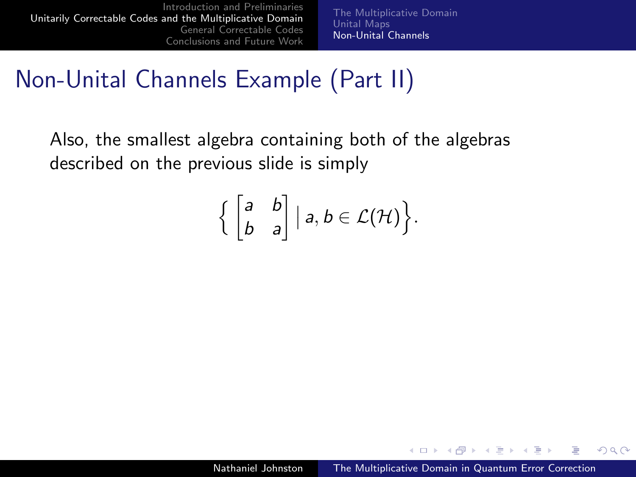[The Multiplicative Domain](#page-18-0) [Unital Maps](#page-21-0) [Non-Unital Channels](#page-37-0)

## Non-Unital Channels Example (Part II)

Also, the smallest algebra containing both of the algebras described on the previous slide is simply

$$
\Big\{ \begin{bmatrix} a & b \\ b & a \end{bmatrix} \big| a, b \in \mathcal{L}(\mathcal{H}) \Big\}.
$$

4.000.00

→ (母) > → ヨ) → → ヨ)>

 $QQ$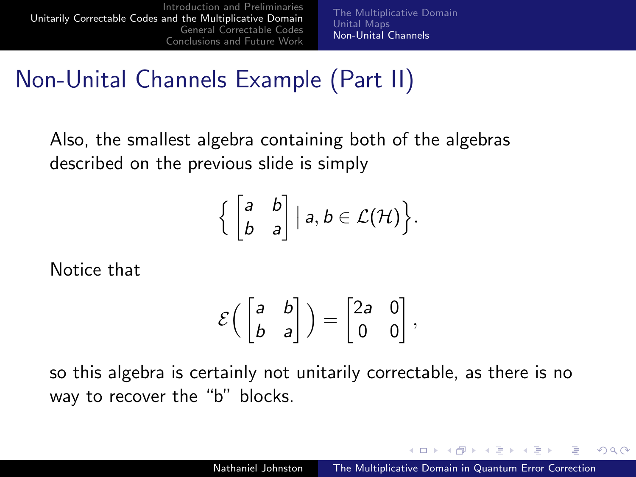[The Multiplicative Domain](#page-18-0) [Unital Maps](#page-21-0) [Non-Unital Channels](#page-37-0)

# Non-Unital Channels Example (Part II)

Also, the smallest algebra containing both of the algebras described on the previous slide is simply

$$
\Big\{ \begin{bmatrix} a & b \\ b & a \end{bmatrix} \big| a, b \in \mathcal{L}(\mathcal{H}) \Big\}.
$$

Notice that

$$
\mathcal{E}\left(\begin{bmatrix} a & b \\ b & a \end{bmatrix}\right) = \begin{bmatrix} 2a & 0 \\ 0 & 0 \end{bmatrix},
$$

so this algebra is certainly not unitarily correctable, as there is no way to recover the "b" blocks.

4.000.00

マタンマチャマチャ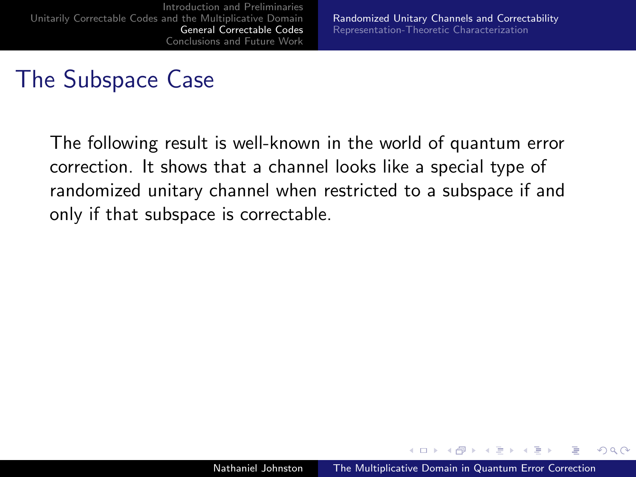The following result is well-known in the world of quantum error correction. It shows that a channel looks like a special type of randomized unitary channel when restricted to a subspace if and only if that subspace is correctable.

<span id="page-44-0"></span>4.000.00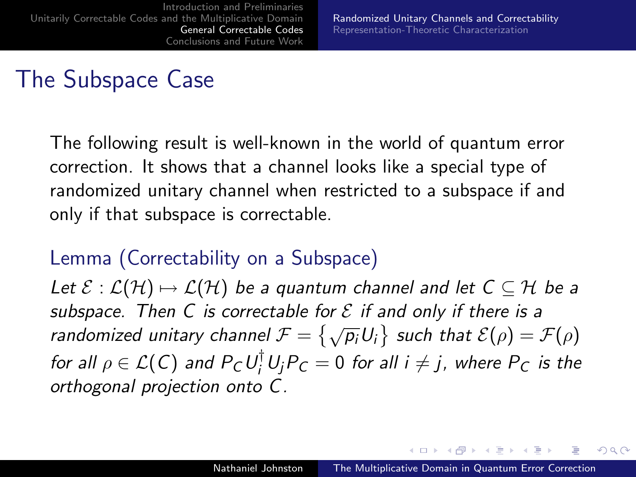The following result is well-known in the world of quantum error correction. It shows that a channel looks like a special type of randomized unitary channel when restricted to a subspace if and only if that subspace is correctable.

#### Lemma (Correctability on a Subspace)

Let  $\mathcal{E} : \mathcal{L}(\mathcal{H}) \mapsto \mathcal{L}(\mathcal{H})$  be a quantum channel and let  $C \subseteq \mathcal{H}$  be a subspace. Then C is correctable for  $\mathcal E$  if and only if there is a randomized unitary channel  $\mathcal{F} = \{\sqrt{p_i}U_i\}$  such that  $\mathcal{E}(\rho) = \mathcal{F}(\rho)$ for all  $\rho \in \mathcal{L}(\mathsf{C})$  and  $P_{\mathsf{C}}U_{i}^{\dagger}U_{j}P_{\mathsf{C}}=0$  for all  $i\neq j$ , where  $P_{\mathsf{C}}$  is the orthogonal projection onto C.

<span id="page-45-0"></span>イロメ イ母メ イヨメ イヨメ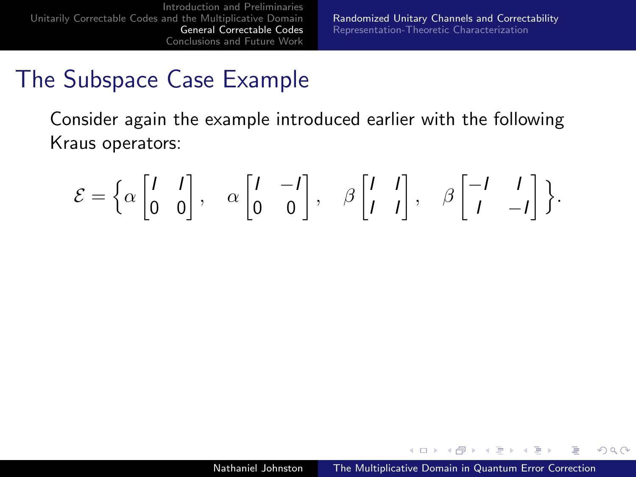### The Subspace Case Example

Consider again the example introduced earlier with the following Kraus operators:

$$
\mathcal{E} = \left\{ \alpha \begin{bmatrix} I & I \\ 0 & 0 \end{bmatrix}, \alpha \begin{bmatrix} I & -I \\ 0 & 0 \end{bmatrix}, \beta \begin{bmatrix} I & I \\ I & I \end{bmatrix}, \beta \begin{bmatrix} -I & I \\ I & -I \end{bmatrix} \right\}.
$$

4.000.00

 $\overline{AB}$   $\overline{B}$ 

 $\equiv$ 

 $2Q$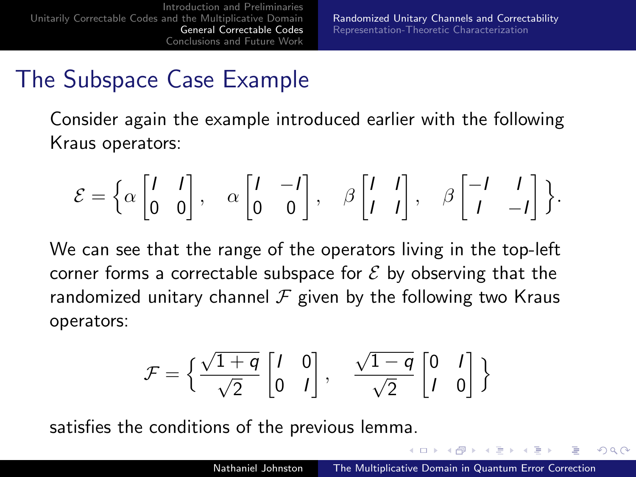## The Subspace Case Example

Consider again the example introduced earlier with the following Kraus operators:

$$
\mathcal{E} = \left\{ \alpha \begin{bmatrix} I & I \\ 0 & 0 \end{bmatrix}, \alpha \begin{bmatrix} I & -I \\ 0 & 0 \end{bmatrix}, \beta \begin{bmatrix} I & I \\ I & I \end{bmatrix}, \beta \begin{bmatrix} -I & I \\ I & -I \end{bmatrix} \right\}.
$$

We can see that the range of the operators living in the top-left corner forms a correctable subspace for  $\mathcal E$  by observing that the randomized unitary channel  $\mathcal F$  given by the following two Kraus operators:

$$
\mathcal{F} = \left\{ \frac{\sqrt{1+q}}{\sqrt{2}} \begin{bmatrix} I & 0 \\ 0 & I \end{bmatrix}, \quad \frac{\sqrt{1-q}}{\sqrt{2}} \begin{bmatrix} 0 & I \\ I & 0 \end{bmatrix} \right\}
$$

satisfies the conditions of the previous lemma.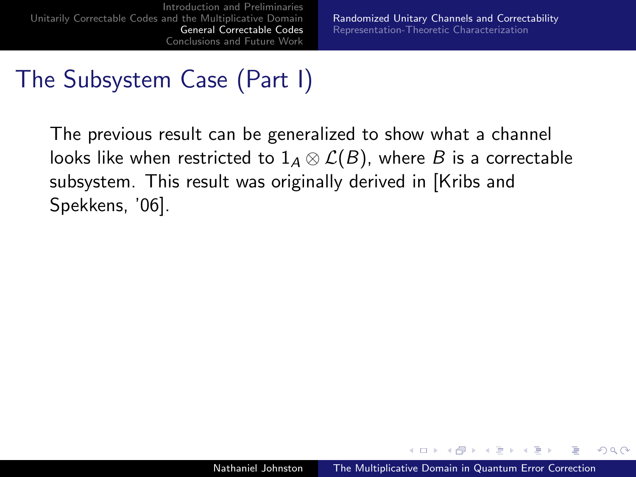# The Subsystem Case (Part I)

The previous result can be generalized to show what a channel looks like when restricted to  $1_A \otimes \mathcal{L}(B)$ , where B is a correctable subsystem. This result was originally derived in [Kribs and Spekkens, '06].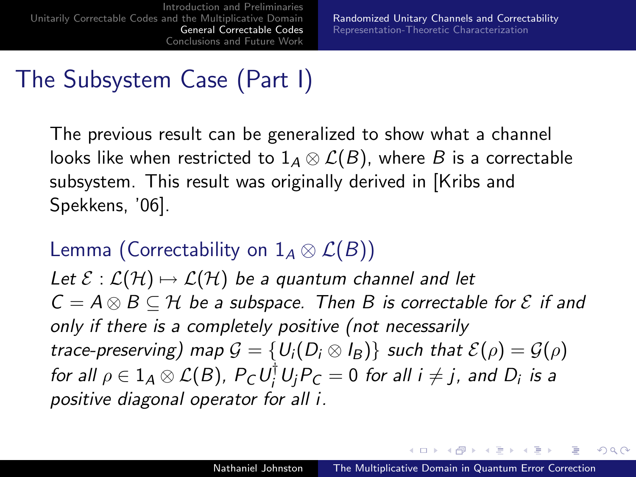# The Subsystem Case (Part I)

The previous result can be generalized to show what a channel looks like when restricted to  $1_A \otimes \mathcal{L}(B)$ , where B is a correctable subsystem. This result was originally derived in [Kribs and Spekkens, '06].

#### Lemma (Correctability on  $1_A \otimes \mathcal{L}(B)$ )

Let  $\mathcal{E} : \mathcal{L}(\mathcal{H}) \mapsto \mathcal{L}(\mathcal{H})$  be a quantum channel and let  $C = A \otimes B \subseteq H$  be a subspace. Then B is correctable for  $\mathcal E$  if and only if there is a completely positive (not necessarily trace-preserving) map  $G = \{U_i(D_i \otimes I_B)\}\$  such that  $\mathcal{E}(\rho) = \mathcal{G}(\rho)$ for all  $\rho \in 1_{\mathcal{A}}\otimes\mathcal{L}(B)$ ,  $P_{\mathcal{C}}U_{i}^{\dagger}U_{j}P_{\mathcal{C}}=0$  for all  $i\neq j$ , and  $D_{i}$  is a positive diagonal operator for all i.

イロト イタト イモト イモト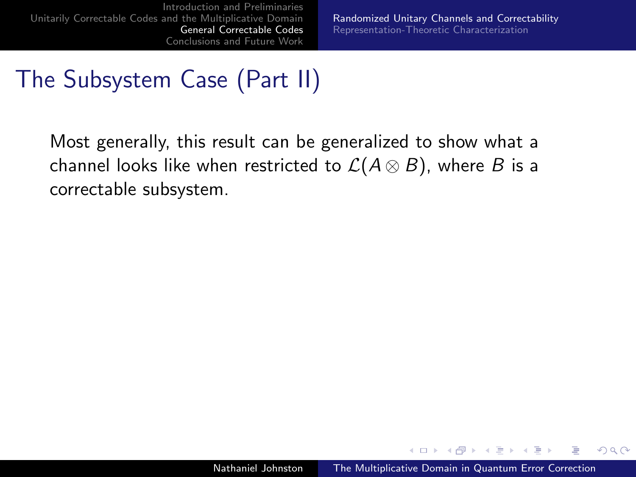## The Subsystem Case (Part II)

Most generally, this result can be generalized to show what a channel looks like when restricted to  $\mathcal{L}(A \otimes B)$ , where B is a correctable subsystem.

4.000.00

 $\overline{AB}$   $\overline{B}$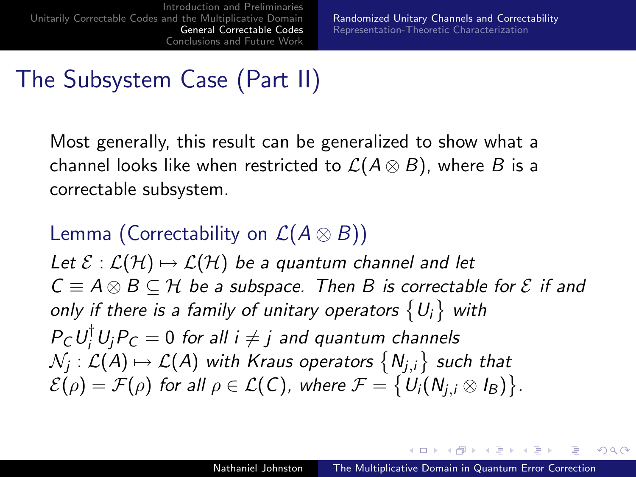# The Subsystem Case (Part II)

Most generally, this result can be generalized to show what a channel looks like when restricted to  $\mathcal{L}(A \otimes B)$ , where B is a correctable subsystem.

### Lemma (Correctability on  $\mathcal{L}(A \otimes B)$ ) Let  $\mathcal{E} : \mathcal{L}(\mathcal{H}) \mapsto \mathcal{L}(\mathcal{H})$  be a quantum channel and let  $C \equiv A \otimes B \subseteq H$  be a subspace. Then B is correctable for  $\mathcal E$  if and only if there is a family of unitary operators  $\{U_i\}$  with  $P_{\mathcal{C}}U_i^{\dagger}U_jP_{\mathcal{C}}=0$  for all  $i\neq j$  and quantum channels  $\mathcal{N}_j:\mathcal{L}(\mathcal{A})\mapsto\mathcal{L}(\mathcal{A})$  with Kraus operators  $\left\{ \mathcal{N}_{j,i}\right\}$  such that  $\mathcal{E}(\rho)=\mathcal{F}(\rho)$  for all  $\rho\in\mathcal{L}(\mathsf{C}),$  where  $\mathcal{F}=\big\{\mathsf{U}_i(\mathsf{N}_{j,i}\otimes\mathsf{I}_\mathsf{B})\big\}.$

イロト イタト イモト イモト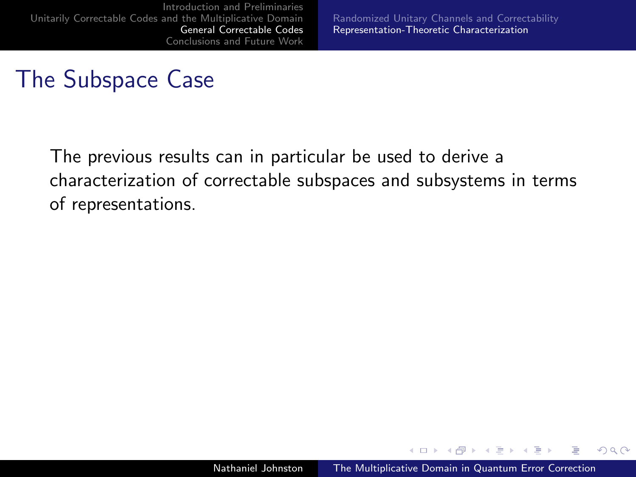[Randomized Unitary Channels and Correctability](#page-44-0) [Representation-Theoretic Characterization](#page-53-0)

## The Subspace Case

The previous results can in particular be used to derive a characterization of correctable subspaces and subsystems in terms of representations.

4.000.00

<span id="page-52-0"></span>- 4 点 下  $\rightarrow$   $\pm$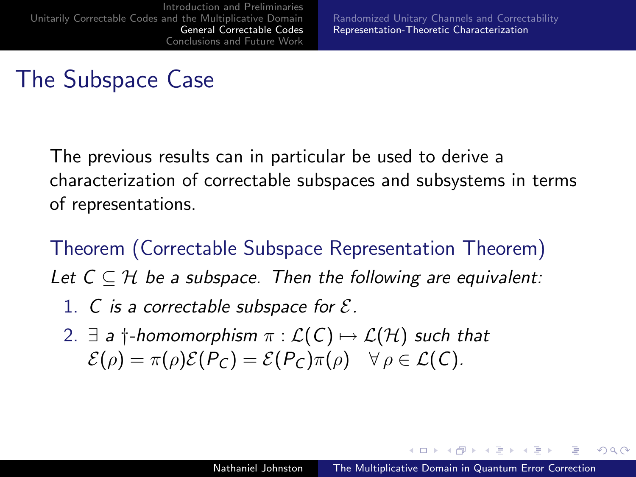The previous results can in particular be used to derive a characterization of correctable subspaces and subsystems in terms of representations.

Theorem (Correctable Subspace Representation Theorem) Let  $C \subseteq \mathcal{H}$  be a subspace. Then the following are equivalent:

- 1. C is a correctable subspace for  $\mathcal{E}$ .
- 2.  $\exists$  a  $\dagger$ -homomorphism  $\pi : \mathcal{L}(\mathcal{C}) \mapsto \mathcal{L}(\mathcal{H})$  such that  $\mathcal{E}(\rho) = \pi(\rho)\mathcal{E}(P_C) = \mathcal{E}(P_C)\pi(\rho) \quad \forall \rho \in \mathcal{L}(C).$

<span id="page-53-0"></span>**Advition**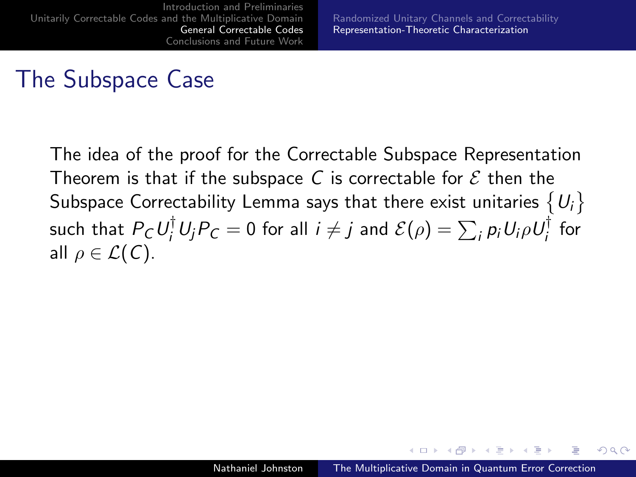The idea of the proof for the Correctable Subspace Representation Theorem is that if the subspace C is correctable for  $\mathcal E$  then the Subspace Correctability Lemma says that there exist unitaries  $\{U_i\}$ such that  $P_\mathcal{C}U_i^\dagger U_jP_\mathcal{C}=0$  for all  $i\neq j$  and  $\mathcal{E}(\rho)=\sum_i p_iU_i\rho U_i^\dagger$  $\frac{1}{i}$  for all  $\rho \in \mathcal{L}(\mathcal{C})$ .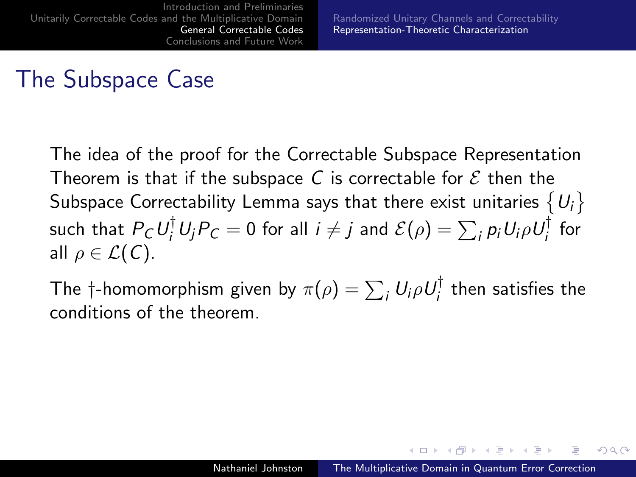The idea of the proof for the Correctable Subspace Representation Theorem is that if the subspace C is correctable for  $\mathcal E$  then the Subspace Correctability Lemma says that there exist unitaries  $\{U_i\}$ such that  $P_\mathcal{C}U_i^\dagger U_jP_\mathcal{C}=0$  for all  $i\neq j$  and  $\mathcal{E}(\rho)=\sum_i p_iU_i\rho U_i^\dagger$  $\frac{1}{i}$  for all  $\rho \in \mathcal{L}(\mathcal{C})$ .

The †-homomorphism given by  $\pi(\rho)=\sum_i U_i \rho U_i^\dagger$  $\frac{1}{i}$  then satisfies the conditions of the theorem.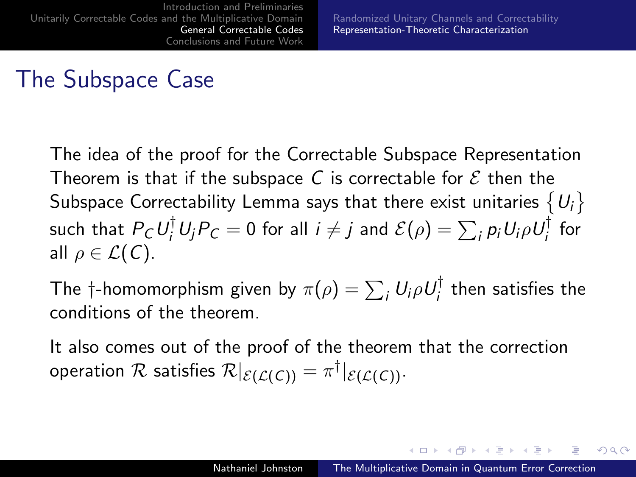The idea of the proof for the Correctable Subspace Representation Theorem is that if the subspace C is correctable for  $\mathcal E$  then the Subspace Correctability Lemma says that there exist unitaries  $\{U_i\}$ such that  $P_\mathcal{C}U_i^\dagger U_jP_\mathcal{C}=0$  for all  $i\neq j$  and  $\mathcal{E}(\rho)=\sum_i p_iU_i\rho U_i^\dagger$  $\frac{1}{i}$  for all  $\rho \in \mathcal{L}(\mathcal{C})$ .

The †-homomorphism given by  $\pi(\rho)=\sum_i U_i \rho U_i^\dagger$  $\frac{1}{i}$  then satisfies the conditions of the theorem.

It also comes out of the proof of the theorem that the correction operation  ${\cal R}$  satisfies  ${\cal R}|_{{\cal E}({\cal L}({\cal C}))}=\pi^{\dagger}|_{{\cal E}({\cal L}({\cal C}))}.$ 

イロト イタト イモト イモト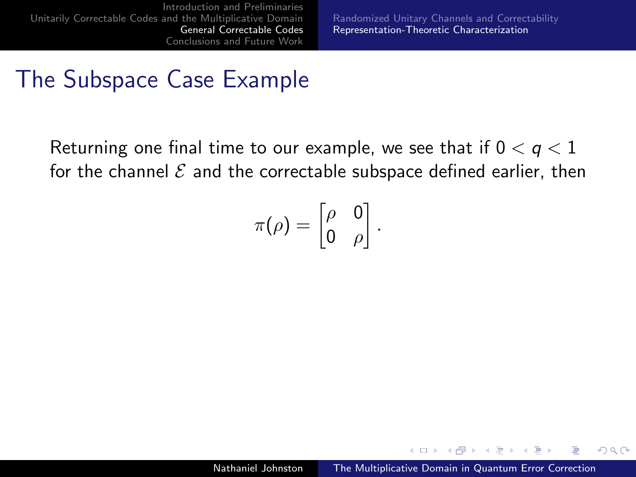## The Subspace Case Example

Returning one final time to our example, we see that if  $0 < q < 1$ for the channel  $\mathcal E$  and the correctable subspace defined earlier, then

$$
\pi(\rho)=\begin{bmatrix}\rho&0\\0&\rho\end{bmatrix}.
$$

 $\leftarrow$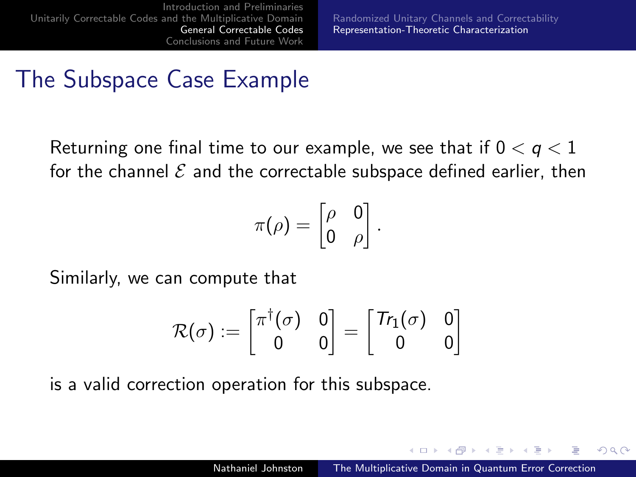## The Subspace Case Example

Returning one final time to our example, we see that if  $0 < q < 1$ for the channel  $\mathcal E$  and the correctable subspace defined earlier, then

$$
\pi(\rho) = \begin{bmatrix} \rho & 0 \\ 0 & \rho \end{bmatrix}.
$$

Similarly, we can compute that

$$
\mathcal{R}(\sigma) := \begin{bmatrix} \pi^\dagger(\sigma) & 0 \\ 0 & 0 \end{bmatrix} = \begin{bmatrix} \text{Tr}_1(\sigma) & 0 \\ 0 & 0 \end{bmatrix}
$$

is a valid correction operation for this subspace.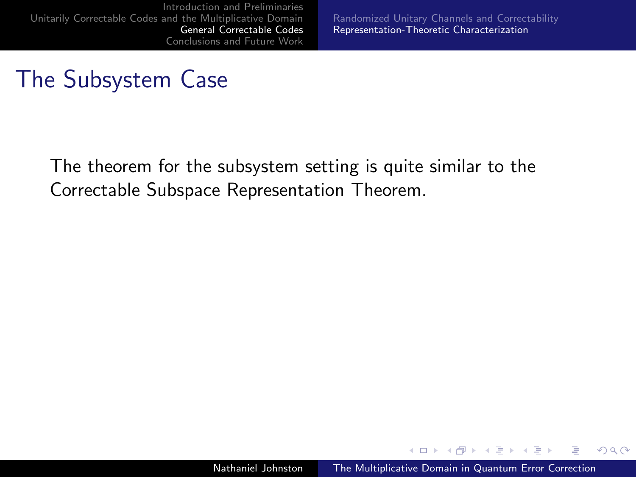[Randomized Unitary Channels and Correctability](#page-44-0) [Representation-Theoretic Characterization](#page-52-0)

#### The Subsystem Case

The theorem for the subsystem setting is quite similar to the Correctable Subspace Representation Theorem.

4.000.00

**A 60 K** 

**ALCOHOL:** 

 $2Q$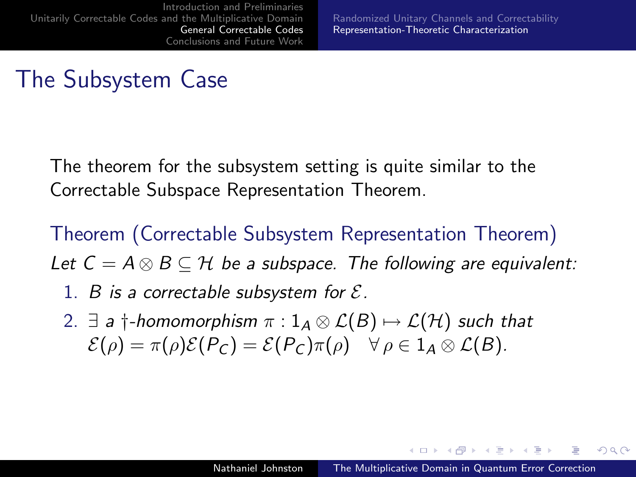## The Subsystem Case

The theorem for the subsystem setting is quite similar to the Correctable Subspace Representation Theorem.

Theorem (Correctable Subsystem Representation Theorem) Let  $C = A \otimes B \subseteq H$  be a subspace. The following are equivalent:

- 1. B is a correctable subsystem for  $\mathcal{E}$ .
- 2.  $\exists$  a †-homomorphism  $\pi$  :  $1_A \otimes \mathcal{L}(B) \mapsto \mathcal{L}(\mathcal{H})$  such that  $\mathcal{E}(\rho) = \pi(\rho)\mathcal{E}(P_C) = \mathcal{E}(P_C)\pi(\rho) \quad \forall \rho \in 1_A \otimes \mathcal{L}(B).$

- スート スート スート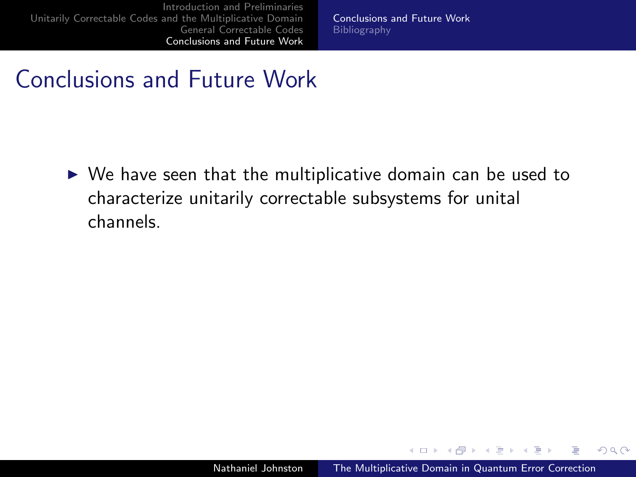[Conclusions and Future Work](#page-63-0) [Bibliography](#page-64-0)

#### Conclusions and Future Work

 $\triangleright$  We have seen that the multiplicative domain can be used to characterize unitarily correctable subsystems for unital channels.

4.000.00

 $\mathcal{A}$   $\mathcal{A}$   $\mathcal{B}$   $\mathcal{B}$   $\mathcal{B}$ **ALCOHOL:**  <span id="page-61-0"></span> $QQ$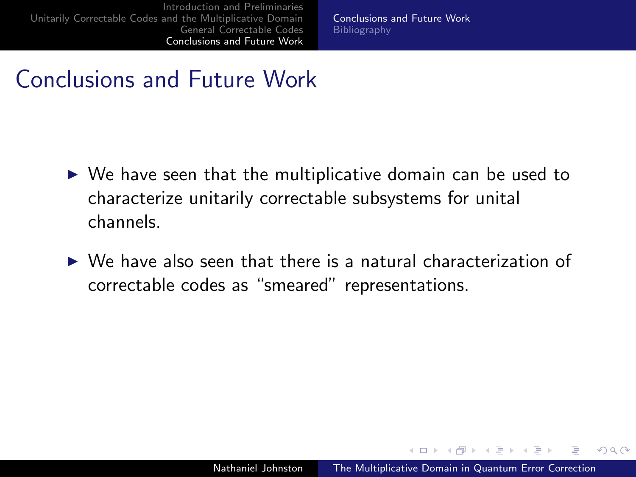[Conclusions and Future Work](#page-63-0) [Bibliography](#page-64-0)

#### Conclusions and Future Work

- $\triangleright$  We have seen that the multiplicative domain can be used to characterize unitarily correctable subsystems for unital channels.
- $\triangleright$  We have also seen that there is a natural characterization of correctable codes as "smeared" representations.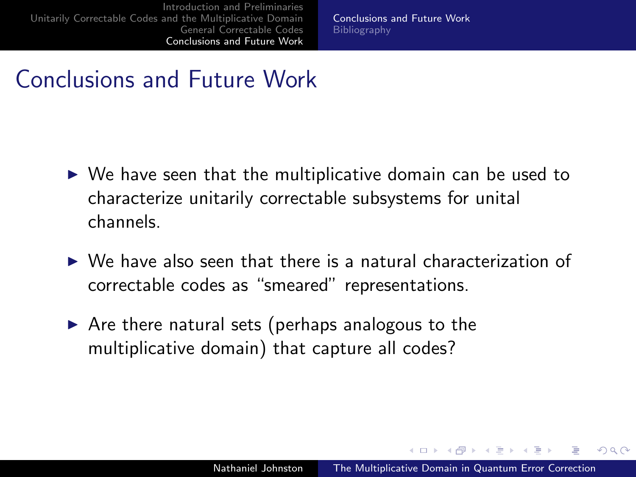<span id="page-63-0"></span>[Conclusions and Future Work](#page-61-0) **[Bibliography](#page-64-0)** 

#### Conclusions and Future Work

- $\triangleright$  We have seen that the multiplicative domain can be used to characterize unitarily correctable subsystems for unital channels.
- $\triangleright$  We have also seen that there is a natural characterization of correctable codes as "smeared" representations.
- $\triangleright$  Are there natural sets (perhaps analogous to the multiplicative domain) that capture all codes?